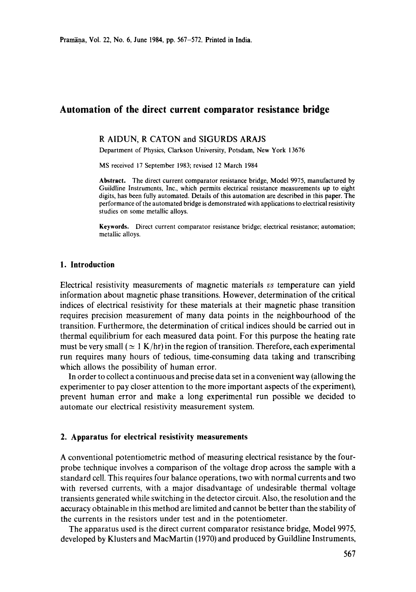# **Automation of the direct current comparator resistance bridge**

#### R AIDUN, R CATON and SIGURDS ARAJS

Department of Physics, Clarkson University, Potsdam, New York 13676

MS received 17 September 1983; revised 12 March 1984

**Abstract.** The direct current comparator resistance bridge, Model 9975, manufactured by Guildline Instruments, Inc., which permits electrical resistance measurements up to eight digits, has been fully automated. Details of this automation are described in this paper. The performance of the automated bridge is demonstrated with applications to electrical resistivity studies on some metallic alloys.

**Keywords.** Direct current comparator resistance bridge; electrical resistance; automation; metallic alloys.

#### **1. Introduction**

Electrical resistivity measurements of magnetic materials us temperature can yield information about magnetic phase transitions. However, determination of the critical indices of electrical resistivity for these materials at their magnetic phase transition requires precision measurement of many data points in the neighbourhood of the transition. Furthermore, the determination of critical indices should be carried out in thermal equilibrium for each measured data point. For this purpose the heating rate must be very small ( $\simeq 1$  K/hr) in the region of transition. Therefore, each experimental run requires many hours of tedious, time-consuming data taking and transcribing which allows the possibility of human error.

In order to collect a continuous and precise data set in a convenient way (allowing the experimenter to pay closer attention to the more important aspects of the experiment), prevent human error and make a long experimental run possible we decided to automate our electrical resistivity measurement system.

#### **2. Apparatus for electrical resistivity measurements**

A conventional potentiometric method of measuring electrical resistance by the fourprobe technique involves a comparison of the voltage drop across the sample with a standard cell. This requires four balance operations, two with normal currents and two with reversed currents, with a major disadvantage of undesirable thermal voltage transients generated while switching in the detector circuit. Also, the resolution and the accuracy obtainable in this method are limited and cannot be better than the stability of the currents in the resistors under test and in the potentiometer.

The apparatus used is the direct current comparator resistance bridge, Model 9975, developed by Klusters and MacMartin (1970) and produced by Guildline Instruments,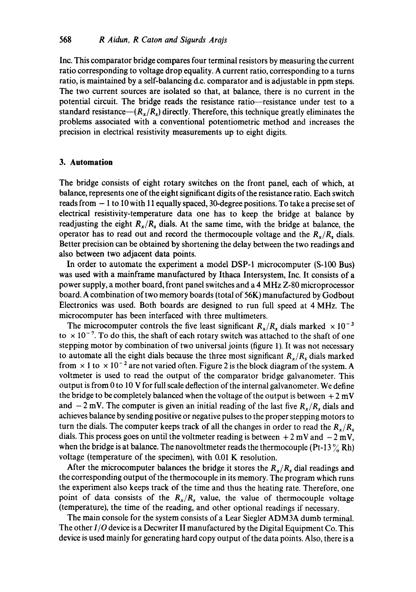Inc. This comparator bridge compares four terminal resistors by measuring the current ratio corresponding to voltage drop equality. A current ratio, corresponding to a turns ratio, is maintained by a self-balancing d.c. comparator and is adjustable in ppm steps. The two current sources are isolated so that, at balance, there is no current in the potential circuit. The bridge reads the resistance ratio--resistance under test to a standard resistance— $(R_x/R_s)$  directly. Therefore, this technique greatly eliminates the problems associated with a conventional potentiometric method and increases the precision in electrical resistivity measurements up to eight digits.

### **3. Automation**

The bridge consists of eight rotary switches on the front panel, each of which, at balance, represents one of the eight significant digits of the resistance ratio. Each switch reads from - 1 to 10 with 11 equally spaced, 30-degree positions. To take a precise set of electrical resistivity-temperature data one has to keep the bridge at balance by readjusting the eight  $R_x/R_s$  dials. At the same time, with the bridge at balance, the operator has to read out and record the thermocouple voltage and the  $R_x/R_s$  dials. Better precision can be obtained by shortening the delay between the two readings and also between two adjacent data points.

In order to automate the experiment a model DSP-I microcomputer (S-100 Bus) was used with a mainframe manufactured by Ithaca Intersystem, Inc. It consists of a power supply, a mother board, front panel switches and a 4 MHz Z-80 microprocessor board. A combination of two memory boards (total of 56K) manufactured by Godbout Electronics was used. Both boards are designed to run full speed at 4 MHz. The microcomputer has been interfaced with three multimeters.

The microcomputer controls the five least significant  $R_x/R_s$  dials marked  $\times 10^{-3}$ to  $\times 10^{-7}$ . To do this, the shaft of each rotary switch was attached to the shaft of one stepping motor by combination of two universal joints (figure 1). It was not necessary to automate all the eight dials because the three most significant  $R_x/R_s$  dials marked from  $\times$  1 to  $\times$  10<sup>-2</sup> are not varied often. Figure 2 is the block diagram of the system. A voltmeter is used to read the output of the comparator bridge galvanometer. This output is from 0 to l0 V for full scale deflection of the internal galvanometer. We define the bridge to be completely balanced when the voltage of the output is between  $+2$  mV and  $-2$  mV. The computer is given an initial reading of the last five  $R_x/R_s$  dials and achieves balance by sending positive or negative pulses to the proper stepping motors to turn the dials. The computer keeps track of all the changes in order to read the  $R_x/R_s$ dials. This process goes on until the voltmeter reading is between  $+ 2$  mV and  $- 2$  mV, when the bridge is at balance. The nanovoltmeter reads the thermocouple (Pt-13 $\%$  Rh) voltage (temperature of the specimen), with 0.01 K resolution.

After the microcomputer balances the bridge it stores the  $R_x/R_s$  dial readings and the corresponding output of the thermocouple in its memory. The program which runs the experiment also keeps track of the time and thus the heating rate. Therefore, one point of data consists of the  $R_x/R_s$  value, the value of thermocouple voltage (temperature), the time of the reading, and other optional readings if necessary.

The main console for the system consists of a Lear Siegler ADM3A dumb terminal. The other *I/0* device is a Decwriter II manufactured by the Digital Equipment Co. This device is used mainly for generating hard copy output of the data points. Also, there is a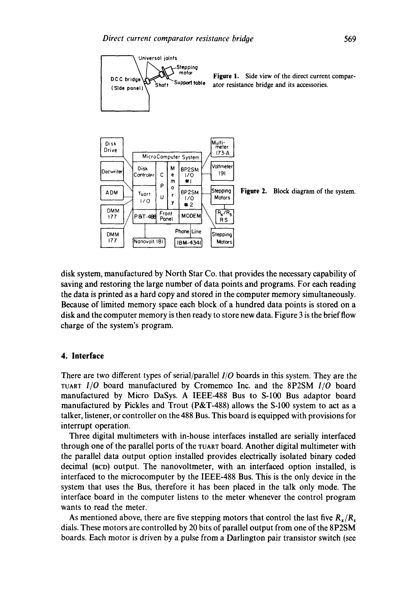

**Figure** 1. Side view of the direct current comparator resistance bridge and its accessories.



disk system, manufactured by North Star Co. that provides the necessary capability of saving and restoring the large number of data points and programs. For each reading the data is printed as a hard copy and stored in the computer memory simultaneously. Because of limited memory space each block of a hundred data points is stored on a disk and the computer memory is then ready to store new data. Figure 3 is the brief flow charge of the system's program.

### **4. Interface**

There are two different types of serial/parallel *I/0* boards in this system. They are the *TUART 1/0* board manufactured by Cromemco Inc. and the 8P2SM *I/0* board manufactured by Micro DaSys. A IEEE-488 Bus to S-100 Bus adaptor board manufactured by Pickles and Trout (P&T-488) allows the S-100 system to act as a talker, listener, or controller on the 488 Bus. This board is equipped with provisions for interrupt operation.

Three digital multimeters with in-house interfaces installed are serially interfaced through one of the parallel ports of the TUART board. Another digital multimeter with the parallel data output option installed provides electrically isolated binary coded decimal (BCD) output. The nanovoltmeter, with an interfaced option installed, is interfaced to the microcomputer by the IEEE-488 Bus. This is the only device in the system that uses the Bus, therefore it has been placed in the talk only mode. The interface board in the computer listens to the meter whenever the control program wants to read the meter.

As mentioned above, there are five stepping motors that control the last five  $R_{x}/R_{s}$ dials. These motors are controlled by 20 bits of parallel output from one of the 8P2SM boards. Each motor is driven by a pulse from a Darlington pair transistor switch (see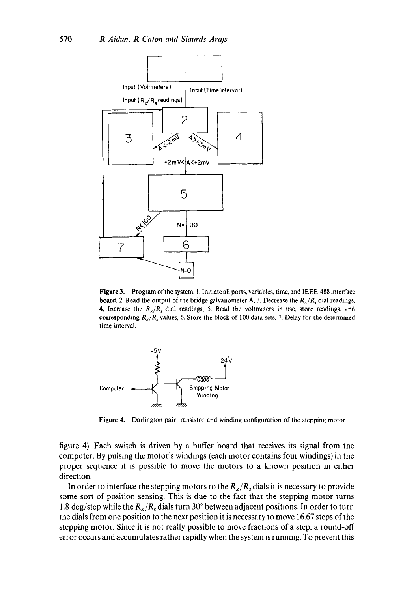

Figure 3. Program of the system. 1. Initiate all ports, variables, time, and IEEE-488 interface board, 2. Read the output of the bridge galvanometer A, 3. Decrease the  $R_x/R_s$  dial readings, 4, Increase the  $R_x/R_s$  dial readings, 5. Read the voltmeters in use, store readings, and corresponding  $R_x/R_s$  values, 6. Store the block of 100 data sets, 7. Delay for the determined time interval.



**Figure 4.**  Darlington pair transistor and winding configuration of the stepping motor.

figure 4). Each switch is driven by a buffer board that receives its signal from the computer. By pulsing the motor's windings (each motor contains four windings) in the proper sequence it is possible to move the motors to a known position in either direction.

In order to interface the stepping motors to the  $R_x/R_s$  dials it is necessary to provide some sort of position sensing. This is due to the fact that the stepping motor turns 1.8 deg/step while the  $R_x/R_s$  dials turn 30° between adjacent positions. In order to turn the dials from one position to the next position it is necessary to move 16.67 steps of the stepping motor. Since it is not really possible to move fractions of a step, a round-off error occurs and accumulates rather rapidly when the system is running. To prevent this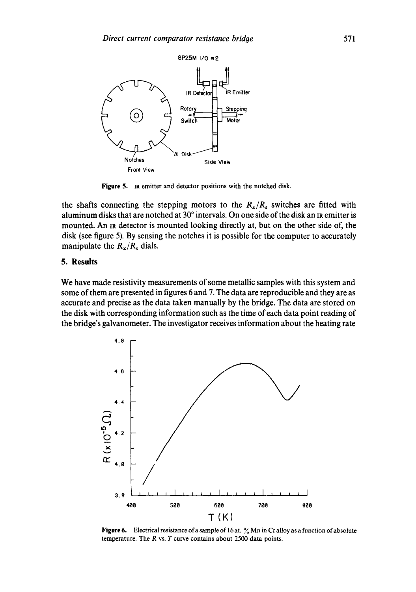

Figure 5. IR emitter and detector positions with the notched disk.

the shafts connecting the stepping motors to the  $R_x/R_s$  switches are fitted with aluminum disks that are notched at  $30^\circ$  intervals. On one side of the disk an IR emitter is mounted. An IR detector is mounted looking directly at, but on the other side of, the disk (see figure 5). By sensing the notches it is possible for the computer to accurately manipulate the  $R_x/R_s$  dials.

## **5. Results**

We have made resistivity measurements of some metallic samples with this system and some of them are presented in figures 6 and 7. The data are reproducible and they are as accurate and precise as the data taken manually by the bridge. The data are stored on the disk with corresponding information such as the time of each data point reading of the bridge's galvanometer. The investigator receives information about the heating rate



Figure 6. Electrical resistance of a sample of 16 at.  $\%$  Mn in Cr alloy as a function of absolute temperature. The  $R$  vs.  $T$  curve contains about 2500 data points.